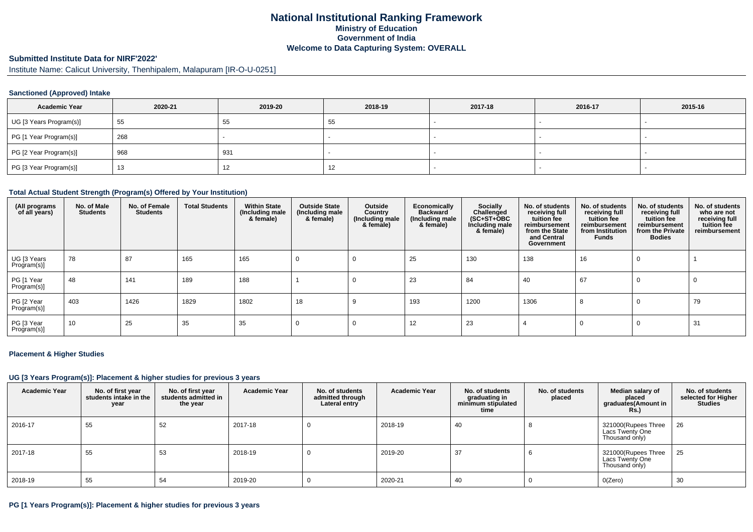# **National Institutional Ranking FrameworkMinistry of Education Government of IndiaWelcome to Data Capturing System: OVERALL**

#### **Submitted Institute Data for NIRF'2022'**

Institute Name: Calicut University, Thenhipalem, Malapuram [IR-O-U-0251]

### **Sanctioned (Approved) Intake**

| <b>Academic Year</b>    | 2020-21 | 2019-20 | 2018-19 | 2017-18 | 2016-17 | 2015-16 |
|-------------------------|---------|---------|---------|---------|---------|---------|
| UG [3 Years Program(s)] | 55      | 55      | 55      |         |         |         |
| PG [1 Year Program(s)]  | 268     |         |         |         |         |         |
| PG [2 Year Program(s)]  | 968     | 931     |         |         |         |         |
| PG [3 Year Program(s)]  | 13      | 14      | 12      |         |         |         |

#### **Total Actual Student Strength (Program(s) Offered by Your Institution)**

| (All programs<br>of all years) | No. of Male<br><b>Students</b> | No. of Female<br><b>Students</b> | <b>Total Students</b> | <b>Within State</b><br>(Including male<br>& female) | <b>Outside State</b><br>(Including male<br>& female) | Outside<br>Country<br>(Including male)<br>& female) | Economically<br><b>Backward</b><br>(Including male<br>& female) | Socially<br>Challenged<br>$(SC+ST+OBC)$<br>Including male<br>& female) | No. of students<br>receiving full<br>tuition fee<br>reimbursement<br>from the State<br>and Central<br>Government | No. of students<br>receiving full<br>tuition fee<br>reimbursement<br>from Institution<br><b>Funds</b> | No. of students<br>receiving full<br>tuition fee<br>reimbursement<br>from the Private<br><b>Bodies</b> | No. of students<br>who are not<br>receiving full<br>tuition fee<br>reimbursement |
|--------------------------------|--------------------------------|----------------------------------|-----------------------|-----------------------------------------------------|------------------------------------------------------|-----------------------------------------------------|-----------------------------------------------------------------|------------------------------------------------------------------------|------------------------------------------------------------------------------------------------------------------|-------------------------------------------------------------------------------------------------------|--------------------------------------------------------------------------------------------------------|----------------------------------------------------------------------------------|
| UG [3 Years<br>Program(s)]     | 78                             | 87                               | 165                   | 165                                                 |                                                      |                                                     | 25                                                              | 130                                                                    | 138                                                                                                              | 16                                                                                                    | 0                                                                                                      |                                                                                  |
| PG [1 Year<br>Program(s)]      | 48                             | 141                              | 189                   | 188                                                 |                                                      |                                                     | 23                                                              | 84                                                                     | 40                                                                                                               | 67                                                                                                    | 0                                                                                                      | 0                                                                                |
| PG [2 Year<br>Program(s)]      | 403                            | 1426                             | 1829                  | 1802                                                | 18                                                   |                                                     | 193                                                             | 1200                                                                   | 1306                                                                                                             | 8                                                                                                     | 0                                                                                                      | 79                                                                               |
| PG [3 Year<br>Program(s)]      | 10                             | 25                               | 35                    | 35                                                  |                                                      |                                                     | 12                                                              | 23                                                                     |                                                                                                                  | 0                                                                                                     | 0                                                                                                      | 31                                                                               |

#### **Placement & Higher Studies**

#### **UG [3 Years Program(s)]: Placement & higher studies for previous 3 years**

| <b>Academic Year</b> | No. of first year<br>students intake in the<br>year | No. of first year<br>students admitted in<br>the year | <b>Academic Year</b> | No. of students<br>admitted through<br>Lateral entry | Academic Year | No. of students<br>graduating in<br>minimum stipulated<br>time | No. of students<br>placed | Median salary of<br>placed<br>graduates(Amount in<br><b>Rs.)</b> | No. of students<br>selected for Higher<br><b>Studies</b> |
|----------------------|-----------------------------------------------------|-------------------------------------------------------|----------------------|------------------------------------------------------|---------------|----------------------------------------------------------------|---------------------------|------------------------------------------------------------------|----------------------------------------------------------|
| 2016-17              | 55                                                  | 52                                                    | 2017-18              |                                                      | 2018-19       | 40                                                             |                           | 321000(Rupees Three<br>Lacs Twenty One<br>Thousand only)         | 26                                                       |
| 2017-18              | 55                                                  | 53                                                    | 2018-19              |                                                      | 2019-20       | 37                                                             |                           | 321000(Rupees Three<br>Lacs Twenty One<br>Thousand only)         | 25                                                       |
| $ 2018-19$           | 55                                                  | 54                                                    | 2019-20              |                                                      | 2020-21       | 40                                                             |                           | O(Zero)                                                          | 30                                                       |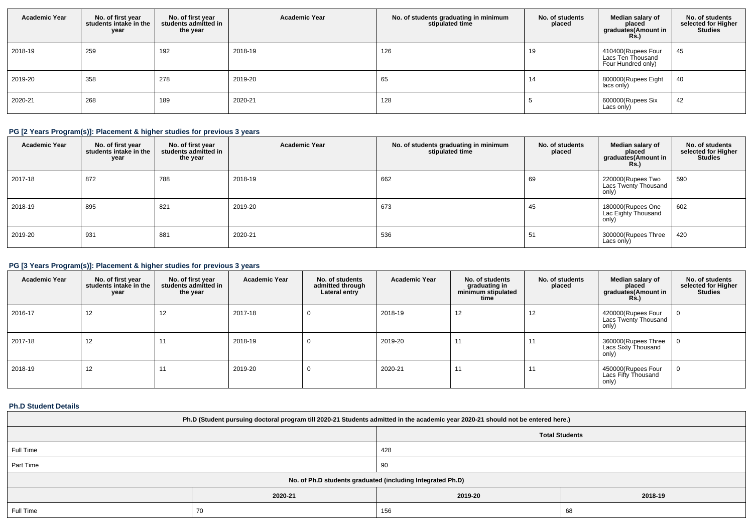| <b>Academic Year</b> | No. of first year<br>students intake in the<br>year | No. of first vear<br>students admitted in<br>the year | <b>Academic Year</b> | No. of students graduating in minimum<br>stipulated time | No. of students<br>placed | Median salary of<br>placed<br>graduates(Amount in<br><b>Rs.)</b> | No. of students<br>selected for Higher<br><b>Studies</b> |
|----------------------|-----------------------------------------------------|-------------------------------------------------------|----------------------|----------------------------------------------------------|---------------------------|------------------------------------------------------------------|----------------------------------------------------------|
| 2018-19              | 259                                                 | 192                                                   | 2018-19              | 126                                                      | 19                        | 410400(Rupees Four<br>Lacs Ten Thousand<br>Four Hundred only)    | 45                                                       |
| 2019-20              | 358                                                 | 278                                                   | 2019-20              | 65                                                       | 14                        | 800000(Rupees Eight<br>lacs only)                                | 40                                                       |
| 2020-21              | 268                                                 | 189                                                   | 2020-21              | 128                                                      |                           | 600000(Rupees Six<br>Lacs only)                                  | 42                                                       |

## **PG [2 Years Program(s)]: Placement & higher studies for previous 3 years**

| <b>Academic Year</b> | No. of first year<br>students intake in the<br>year | No. of first year<br>students admitted in<br>the year | <b>Academic Year</b> | No. of students graduating in minimum<br>stipulated time | No. of students<br>placed | Median salary of<br>placed<br>graduates(Amount in<br><b>Rs.)</b> | No. of students<br>selected for Higher<br>Studies |
|----------------------|-----------------------------------------------------|-------------------------------------------------------|----------------------|----------------------------------------------------------|---------------------------|------------------------------------------------------------------|---------------------------------------------------|
| 2017-18              | 872                                                 | 788                                                   | 2018-19              | 662                                                      | 69                        | 220000(Rupees Two<br>Lacs Twenty Thousand<br>only)               | 590                                               |
| 2018-19              | 895                                                 | 821                                                   | 2019-20              | 673                                                      | 45                        | 180000(Rupees One<br>Lac Eighty Thousand<br>only)                | 602                                               |
| 2019-20              | 931                                                 | 881                                                   | 2020-21              | 536                                                      | -51                       | 300000(Rupees Three<br>Lacs only)                                | 420                                               |

## **PG [3 Years Program(s)]: Placement & higher studies for previous 3 years**

| <b>Academic Year</b> | No. of first year<br>students intake in the<br>year | No. of first year<br>students admitted in<br>the year | <b>Academic Year</b> | No. of students<br>admitted through<br>Lateral entry | <b>Academic Year</b> | No. of students<br>graduating in<br>minimum stipulated<br>time | No. of students<br>placed | Median salary of<br>placed<br>graduates(Amount in<br><b>Rs.)</b> | No. of students<br>selected for Higher<br><b>Studies</b> |
|----------------------|-----------------------------------------------------|-------------------------------------------------------|----------------------|------------------------------------------------------|----------------------|----------------------------------------------------------------|---------------------------|------------------------------------------------------------------|----------------------------------------------------------|
| 2016-17              | 12                                                  | 12                                                    | 2017-18              | 0                                                    | 2018-19              | 12                                                             | 12                        | 420000(Rupees Four<br>Lacs Twenty Thousand<br>only)              |                                                          |
| 2017-18              | 12                                                  | $\overline{A}$                                        | 2018-19              | 0                                                    | 2019-20              | 11                                                             | 11                        | 360000(Rupees Three<br>Lacs Sixty Thousand<br>only)              |                                                          |
| 2018-19              | 12                                                  | $\overline{A}$                                        | 2019-20              | 0                                                    | 2020-21              | 11                                                             | 11                        | 450000(Rupees Four<br>Lacs Fifty Thousand<br>only)               | U                                                        |

### **Ph.D Student Details**

| Ph.D (Student pursuing doctoral program till 2020-21 Students admitted in the academic year 2020-21 should not be entered here.) |                                                            |                    |  |  |  |  |
|----------------------------------------------------------------------------------------------------------------------------------|------------------------------------------------------------|--------------------|--|--|--|--|
| <b>Total Students</b>                                                                                                            |                                                            |                    |  |  |  |  |
| Full Time                                                                                                                        |                                                            |                    |  |  |  |  |
| Part Time                                                                                                                        |                                                            | 90                 |  |  |  |  |
|                                                                                                                                  | No. of Ph.D students graduated (including Integrated Ph.D) |                    |  |  |  |  |
|                                                                                                                                  | 2020-21                                                    | 2018-19<br>2019-20 |  |  |  |  |
| Full Time                                                                                                                        | 156<br>70<br>68                                            |                    |  |  |  |  |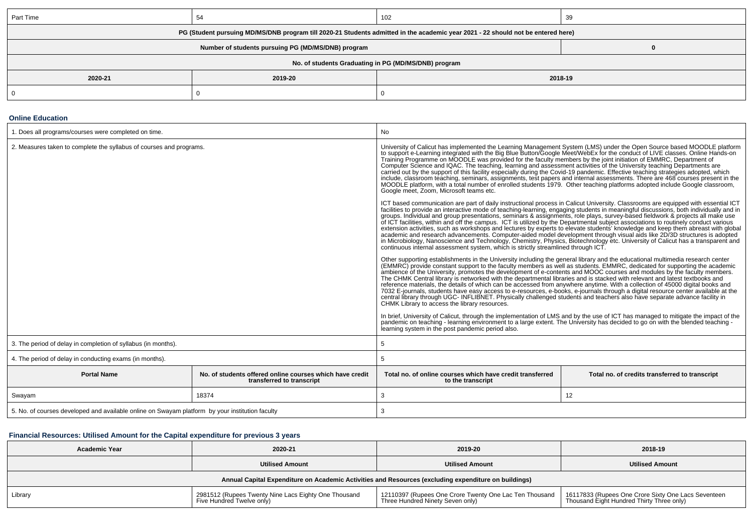| Part Time                                                                                                                        |         | 102                                                  | 39 |  |  |  |
|----------------------------------------------------------------------------------------------------------------------------------|---------|------------------------------------------------------|----|--|--|--|
| PG (Student pursuing MD/MS/DNB program till 2020-21 Students admitted in the academic year 2021 - 22 should not be entered here) |         |                                                      |    |  |  |  |
|                                                                                                                                  |         |                                                      |    |  |  |  |
|                                                                                                                                  |         | No. of students Graduating in PG (MD/MS/DNB) program |    |  |  |  |
| 2020-21                                                                                                                          | 2018-19 |                                                      |    |  |  |  |
|                                                                                                                                  |         |                                                      |    |  |  |  |

#### **Online Education**

| 1. Does all programs/courses were completed on time.                                            |                                                                                       | No                                                                                                                                                                                                                                                                                                                                                                                                                                                                                                                                                                                                                                                                                                                                                                                                                                                                                                                                                                        |                                                                                                                                  |  |
|-------------------------------------------------------------------------------------------------|---------------------------------------------------------------------------------------|---------------------------------------------------------------------------------------------------------------------------------------------------------------------------------------------------------------------------------------------------------------------------------------------------------------------------------------------------------------------------------------------------------------------------------------------------------------------------------------------------------------------------------------------------------------------------------------------------------------------------------------------------------------------------------------------------------------------------------------------------------------------------------------------------------------------------------------------------------------------------------------------------------------------------------------------------------------------------|----------------------------------------------------------------------------------------------------------------------------------|--|
| 2. Measures taken to complete the syllabus of courses and programs.                             |                                                                                       | University of Calicut has implemented the Learning Management System (LMS) under the Open Source based MOODLE platform<br>to support e-Learning integrated with the Big Blue Button/Google Meet/WebEx for the conduct of LIVE classes. Online Hands-on<br>Training Programme on MOODLE was provided for the faculty members by the joint initiation of EMMRC, Department of<br>Computer Science and IQAC. The teaching, learning and assessment activities of the University teaching Depar<br>carried out by the support of this facility especially during the Covid-19 pandemic. Effective teaching strategies adopted, which<br>include, classroom teaching, seminars, assignments, test papers and internal assessments. There are 468 courses present in the<br>MOODLE platform, with a total number of enrolled students 1979. Other teaching platforms adopte<br>Google meet, Zoom, Microsoft teams etc.                                                          |                                                                                                                                  |  |
|                                                                                                 |                                                                                       | ICT based communication are part of daily instructional process in Calicut University. Classrooms are equipped with essential ICT<br>facilities to provide an interactive mode of teaching-learning, engaging students in meaningful discussions, both individually and in<br>groups. Individual and group presentations, seminars & assignments, role plays, survey-based fieldwork & projects all make use<br>of ICT facilities, within and off the campus. ICT is utilized by the Departmental subject associations to routinely conduct various<br>academic and research advancements. Computer-aided model development through visual aids like 2D/3D structures is adopted<br>in Microbiology, Nanoscience and Technology, Chemistry, Physics, Biotechnology etc. University of Calicut has a transparent and<br>continuous internal assessment system, which is strictly streamlined through ICT.                                                                  | extension activities, such as workshops and lectures by experts to elevate students' knowledge and keep them abreast with global |  |
|                                                                                                 |                                                                                       | Other supporting establishments in the University including the general library and the educational multimedia research center<br>(EMMRC) provide constant support to the faculty members as well as students. EMMRC, dedicated for supporting the academic<br>ambience of the University, promotes the development of e-contents and MOOC courses and modules by the faculty members.<br>The CHMK Central library is networked with the departmental libraries and is stacked with relevant and latest textbooks and<br>reference materials, the details of which can be accessed from anywhere anytime. With a collection of 45000 digital books and<br>7032 E-journals, students have easy access to e-resources, e-books, e-journals through a digital resource center available at the<br>central library through UGC-INFLIBNET. Physically challenged students and teachers also have separate advance facility in<br>CHMK Library to access the library resources. |                                                                                                                                  |  |
|                                                                                                 |                                                                                       | In brief, University of Calicut, through the implementation of LMS and by the use of ICT has managed to mitigate the impact of the pandemic on teaching - learning environment to a large extent. The University has decided t<br>learning system in the post pandemic period also.                                                                                                                                                                                                                                                                                                                                                                                                                                                                                                                                                                                                                                                                                       |                                                                                                                                  |  |
| 3. The period of delay in completion of syllabus (in months).                                   |                                                                                       | 5                                                                                                                                                                                                                                                                                                                                                                                                                                                                                                                                                                                                                                                                                                                                                                                                                                                                                                                                                                         |                                                                                                                                  |  |
| 4. The period of delay in conducting exams (in months).                                         |                                                                                       | 5                                                                                                                                                                                                                                                                                                                                                                                                                                                                                                                                                                                                                                                                                                                                                                                                                                                                                                                                                                         |                                                                                                                                  |  |
| <b>Portal Name</b>                                                                              | No, of students offered online courses which have credit<br>transferred to transcript | Total no, of online courses which have credit transferred<br>to the transcript                                                                                                                                                                                                                                                                                                                                                                                                                                                                                                                                                                                                                                                                                                                                                                                                                                                                                            | Total no. of credits transferred to transcript                                                                                   |  |
| Swayam                                                                                          | 18374                                                                                 | 3                                                                                                                                                                                                                                                                                                                                                                                                                                                                                                                                                                                                                                                                                                                                                                                                                                                                                                                                                                         | 12                                                                                                                               |  |
| 5. No. of courses developed and available online on Swayam platform by your institution faculty |                                                                                       | 3                                                                                                                                                                                                                                                                                                                                                                                                                                                                                                                                                                                                                                                                                                                                                                                                                                                                                                                                                                         |                                                                                                                                  |  |

## **Financial Resources: Utilised Amount for the Capital expenditure for previous 3 years**

| <b>Academic Year</b>                                                                                 | 2020-21                                                                                          | 2019-20                | 2018-19                |  |  |  |
|------------------------------------------------------------------------------------------------------|--------------------------------------------------------------------------------------------------|------------------------|------------------------|--|--|--|
|                                                                                                      | <b>Utilised Amount</b>                                                                           | <b>Utilised Amount</b> | <b>Utilised Amount</b> |  |  |  |
| Annual Capital Expenditure on Academic Activities and Resources (excluding expenditure on buildings) |                                                                                                  |                        |                        |  |  |  |
| Library<br>Five Hundred Twelve only)                                                                 | 16117833 (Rupees One Crore Sixty One Lacs Seventeen<br>Thousand Eight Hundred Thirty Three only) |                        |                        |  |  |  |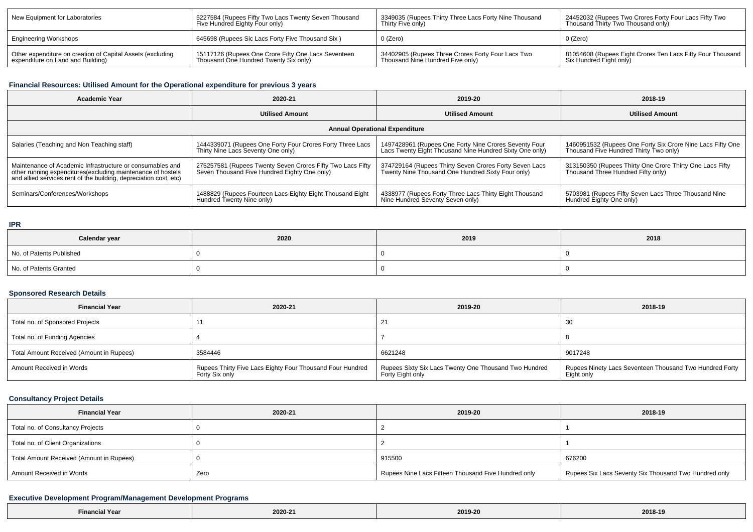| New Equipment for Laboratories                             | 5227584 (Rupees Fifty Two Lacs Twenty Seven Thousand | 3349035 (Rupees Thirty Three Lacs Forty Nine Thousand | 24452032 (Rupees Two Crores Forty Four Lacs Fifty Two      |
|------------------------------------------------------------|------------------------------------------------------|-------------------------------------------------------|------------------------------------------------------------|
|                                                            | Five Hundred Eighty Four only)                       | Thirty Five only)                                     | Thousand Thirty Two Thousand only)                         |
| <b>Engineering Workshops</b>                               | 645698 (Rupees Sic Lacs Forty Five Thousand Six)     | 0 (Zero)                                              | 0 (Zero)                                                   |
| Other expenditure on creation of Capital Assets (excluding | 15117126 (Rupees One Crore Fifty One Lacs Seventeen  | 34402905 (Rupees Three Crores Forty Four Lacs Two     | 81054608 (Rupees Eight Crores Ten Lacs Fifty Four Thousand |
| expenditure on Land and Building)                          | Thousand One Hundred Twenty Six only)                | Thousand Nine Hundred Five only)                      | Six Hundred Eight only)                                    |

## **Financial Resources: Utilised Amount for the Operational expenditure for previous 3 years**

| <b>Academic Year</b>                                                                                                                                                                            | 2020-21                                                                                                    |                                                                                                                  | 2018-19                                                                                              |  |  |  |  |
|-------------------------------------------------------------------------------------------------------------------------------------------------------------------------------------------------|------------------------------------------------------------------------------------------------------------|------------------------------------------------------------------------------------------------------------------|------------------------------------------------------------------------------------------------------|--|--|--|--|
|                                                                                                                                                                                                 | <b>Utilised Amount</b>                                                                                     |                                                                                                                  | <b>Utilised Amount</b>                                                                               |  |  |  |  |
| <b>Annual Operational Expenditure</b>                                                                                                                                                           |                                                                                                            |                                                                                                                  |                                                                                                      |  |  |  |  |
| Salaries (Teaching and Non Teaching staff)                                                                                                                                                      | 1444339071 (Rupees One Forty Four Crores Forty Three Lacs<br>Thirty Nine Lacs Seventy One only)            | 1497428961 (Rupees One Forty Nine Crores Seventy Four<br>Lacs Twenty Eight Thousand Nine Hundred Sixty One only) | 1460951532 (Rupees One Forty Six Crore Nine Lacs Fifty One<br>Thousand Five Hundred Thirty Two only) |  |  |  |  |
| Maintenance of Academic Infrastructure or consumables and<br>other running expenditures (excluding maintenance of hostels<br>and allied services, rent of the building, depreciation cost, etc) | 275257581 (Rupees Twenty Seven Crores Fifty Two Lacs Fifty<br>Seven Thousand Five Hundred Eighty One only) | 374729164 (Rupees Thirty Seven Crores Forty Seven Lacs<br>Twenty Nine Thousand One Hundred Sixty Four only)      | 313150350 (Rupees Thirty One Crore Thirty One Lacs Fifty<br>Thousand Three Hundred Fifty only)       |  |  |  |  |
| Seminars/Conferences/Workshops                                                                                                                                                                  | 1488829 (Rupees Fourteen Lacs Eighty Eight Thousand Eight<br>Hundred Twenty Nine only)                     | 4338977 (Rupees Forty Three Lacs Thirty Eight Thousand<br>Nine Hundred Seventy Seven only)                       | 5703981 (Rupees Fifty Seven Lacs Three Thousand Nine<br>Hundred Eighty One only)                     |  |  |  |  |

#### **IPR**

| Calendar year            | 2020 | 2019 | 2018 |
|--------------------------|------|------|------|
| No. of Patents Published |      |      |      |
| No. of Patents Granted   |      |      |      |

### **Sponsored Research Details**

| <b>Financial Year</b>                    | 2020-21                                                                     | 2019-20                                                                   | 2018-19                                                               |
|------------------------------------------|-----------------------------------------------------------------------------|---------------------------------------------------------------------------|-----------------------------------------------------------------------|
| Total no. of Sponsored Projects          |                                                                             | 21                                                                        | 30                                                                    |
| Total no. of Funding Agencies            |                                                                             |                                                                           |                                                                       |
| Total Amount Received (Amount in Rupees) | 3584446                                                                     | 6621248                                                                   | 9017248                                                               |
| Amount Received in Words                 | Rupees Thirty Five Lacs Eighty Four Thousand Four Hundred<br>Forty Six only | Rupees Sixty Six Lacs Twenty One Thousand Two Hundred<br>Forty Eight only | Rupees Ninety Lacs Seventeen Thousand Two Hundred Forty<br>Eight only |

## **Consultancy Project Details**

| <b>Financial Year</b>                    | 2020-21 | 2019-20                                             | 2018-19                                               |
|------------------------------------------|---------|-----------------------------------------------------|-------------------------------------------------------|
| Total no. of Consultancy Projects        |         |                                                     |                                                       |
| Total no. of Client Organizations        |         |                                                     |                                                       |
| Total Amount Received (Amount in Rupees) |         | 915500                                              | 676200                                                |
| Amount Received in Words                 | Zero    | Rupees Nine Lacs Fifteen Thousand Five Hundred only | Rupees Six Lacs Seventy Six Thousand Two Hundred only |

## **Executive Development Program/Management Development Programs**

| <sup>1</sup> Year<br>Einanr | 2020-21 | $\sim$ $\sim$ $\sim$ $\sim$ $\sim$<br>2019-20 | 2018-19 |
|-----------------------------|---------|-----------------------------------------------|---------|
|-----------------------------|---------|-----------------------------------------------|---------|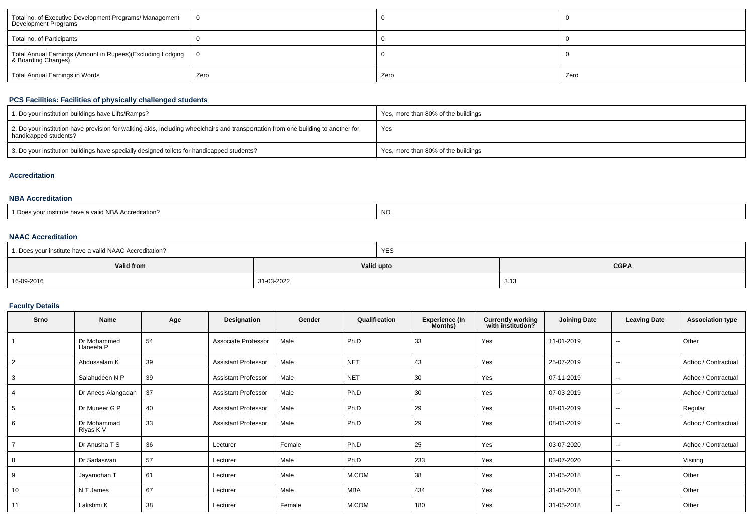| Total no. of Executive Development Programs/ Management<br>Development Programs   |      |      |      |
|-----------------------------------------------------------------------------------|------|------|------|
| Total no. of Participants                                                         |      |      |      |
| Total Annual Earnings (Amount in Rupees)(Excluding Lodging<br>& Boarding Charges) |      |      |      |
| Total Annual Earnings in Words                                                    | Zero | Zero | Zero |

## **PCS Facilities: Facilities of physically challenged students**

| 1. Do your institution buildings have Lifts/Ramps?                                                                                                         | Yes, more than 80% of the buildings |
|------------------------------------------------------------------------------------------------------------------------------------------------------------|-------------------------------------|
| 2. Do your institution have provision for walking aids, including wheelchairs and transportation from one building to another for<br>handicapped students? | Yes                                 |
| 3. Do your institution buildings have specially designed toilets for handicapped students?                                                                 | Yes, more than 80% of the buildings |

### **Accreditation**

#### **NBA Accreditation**

| s vour institute have a valid NBA Accreditation? | <b>NC</b> |
|--------------------------------------------------|-----------|
| : Does                                           |           |

#### **NAAC Accreditation**

| 1. Does your institute have a valid NAAC Accreditation? |            | <b>YES</b> |             |
|---------------------------------------------------------|------------|------------|-------------|
| Valid from                                              |            | Valid upto | <b>CGPA</b> |
| 16-09-2016                                              | 31-03-2022 |            | 3.13        |

### **Faculty Details**

| Srno           | Name                     | Age | Designation                | Gender | Qualification | <b>Experience (In</b><br>Months) | <b>Currently working</b><br>with institution? | <b>Joining Date</b> | <b>Leaving Date</b>      | <b>Association type</b> |
|----------------|--------------------------|-----|----------------------------|--------|---------------|----------------------------------|-----------------------------------------------|---------------------|--------------------------|-------------------------|
|                | Dr Mohammed<br>Haneefa P | 54  | Associate Professor        | Male   | Ph.D          | 33                               | Yes                                           | 11-01-2019          | $\sim$                   | Other                   |
| $\overline{2}$ | Abdussalam K             | 39  | <b>Assistant Professor</b> | Male   | <b>NET</b>    | 43                               | Yes                                           | 25-07-2019          | $\overline{\phantom{a}}$ | Adhoc / Contractual     |
| 3              | Salahudeen N P           | 39  | <b>Assistant Professor</b> | Male   | <b>NET</b>    | 30                               | Yes                                           | 07-11-2019          | $\overline{\phantom{a}}$ | Adhoc / Contractual     |
| $\overline{4}$ | Dr Anees Alangadan       | 37  | <b>Assistant Professor</b> | Male   | Ph.D          | 30                               | Yes                                           | 07-03-2019          | $\sim$                   | Adhoc / Contractual     |
| 5              | Dr Muneer G P            | 40  | <b>Assistant Professor</b> | Male   | Ph.D          | 29                               | Yes                                           | 08-01-2019          | $\overline{\phantom{a}}$ | Regular                 |
| 6              | Dr Mohammad<br>Riyas K V | 33  | <b>Assistant Professor</b> | Male   | Ph.D          | 29                               | Yes                                           | 08-01-2019          | $\overline{\phantom{a}}$ | Adhoc / Contractual     |
|                | Dr Anusha T S            | 36  | Lecturer                   | Female | Ph.D          | 25                               | Yes                                           | 03-07-2020          | $\sim$                   | Adhoc / Contractual     |
| 8              | Dr Sadasivan             | 57  | Lecturer                   | Male   | Ph.D          | 233                              | Yes                                           | 03-07-2020          | $\overline{\phantom{a}}$ | Visiting                |
| 9              | Jayamohan T              | 61  | Lecturer                   | Male   | M.COM         | 38                               | Yes                                           | 31-05-2018          | $\sim$                   | Other                   |
| 10             | N T James                | 67  | Lecturer                   | Male   | <b>MBA</b>    | 434                              | Yes                                           | 31-05-2018          | $\sim$ $\sim$            | Other                   |
| 11             | Lakshmi K                | 38  | Lecturer                   | Female | M.COM         | 180                              | Yes                                           | 31-05-2018          | $\overline{\phantom{a}}$ | Other                   |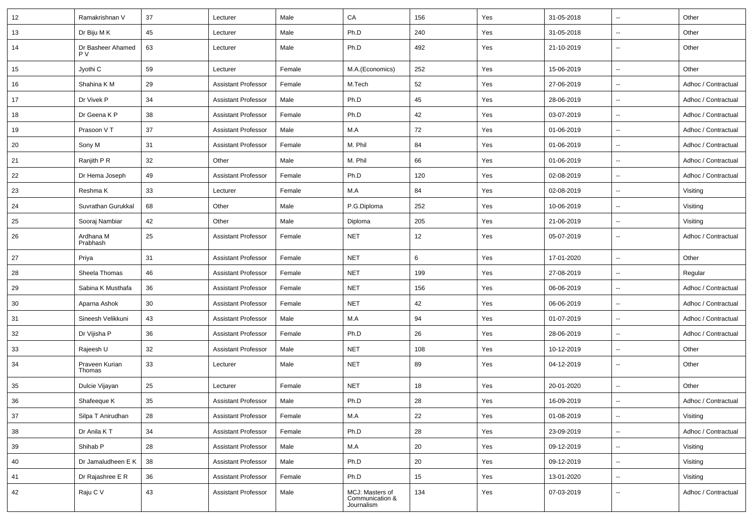| 12 | Ramakrishnan V           | 37 | Lecturer                   | Male   | CA                                               | 156 | Yes | 31-05-2018 | $\overline{\phantom{a}}$ | Other               |
|----|--------------------------|----|----------------------------|--------|--------------------------------------------------|-----|-----|------------|--------------------------|---------------------|
| 13 | Dr Biju M K              | 45 | Lecturer                   | Male   | Ph.D                                             | 240 | Yes | 31-05-2018 | $\overline{\phantom{a}}$ | Other               |
| 14 | Dr Basheer Ahamed<br>P V | 63 | Lecturer                   | Male   | Ph.D                                             | 492 | Yes | 21-10-2019 | $\overline{\phantom{a}}$ | Other               |
| 15 | Jyothi C                 | 59 | Lecturer                   | Female | M.A.(Economics)                                  | 252 | Yes | 15-06-2019 | $\overline{\phantom{a}}$ | Other               |
| 16 | Shahina K M              | 29 | Assistant Professor        | Female | M.Tech                                           | 52  | Yes | 27-06-2019 | $\overline{\phantom{a}}$ | Adhoc / Contractual |
| 17 | Dr Vivek P               | 34 | Assistant Professor        | Male   | Ph.D                                             | 45  | Yes | 28-06-2019 | $\overline{\phantom{a}}$ | Adhoc / Contractual |
| 18 | Dr Geena K P             | 38 | <b>Assistant Professor</b> | Female | Ph.D                                             | 42  | Yes | 03-07-2019 | $\ddotsc$                | Adhoc / Contractual |
| 19 | Prasoon V T              | 37 | Assistant Professor        | Male   | M.A                                              | 72  | Yes | 01-06-2019 | $\overline{\phantom{a}}$ | Adhoc / Contractual |
| 20 | Sony M                   | 31 | Assistant Professor        | Female | M. Phil                                          | 84  | Yes | 01-06-2019 | $\overline{\phantom{a}}$ | Adhoc / Contractual |
| 21 | Ranjith P R              | 32 | Other                      | Male   | M. Phil                                          | 66  | Yes | 01-06-2019 | $\overline{\phantom{a}}$ | Adhoc / Contractual |
| 22 | Dr Hema Joseph           | 49 | Assistant Professor        | Female | Ph.D                                             | 120 | Yes | 02-08-2019 | $\overline{\phantom{a}}$ | Adhoc / Contractual |
| 23 | Reshma K                 | 33 | Lecturer                   | Female | M.A                                              | 84  | Yes | 02-08-2019 | $\overline{\phantom{a}}$ | Visiting            |
| 24 | Suvrathan Gurukkal       | 68 | Other                      | Male   | P.G.Diploma                                      | 252 | Yes | 10-06-2019 | $\ddotsc$                | Visiting            |
| 25 | Sooraj Nambiar           | 42 | Other                      | Male   | Diploma                                          | 205 | Yes | 21-06-2019 | $\overline{\phantom{a}}$ | Visiting            |
| 26 | Ardhana M<br>Prabhash    | 25 | <b>Assistant Professor</b> | Female | <b>NET</b>                                       | 12  | Yes | 05-07-2019 | $\overline{\phantom{a}}$ | Adhoc / Contractual |
| 27 | Priya                    | 31 | Assistant Professor        | Female | <b>NET</b>                                       | 6   | Yes | 17-01-2020 | $\overline{\phantom{a}}$ | Other               |
| 28 | Sheela Thomas            | 46 | Assistant Professor        | Female | <b>NET</b>                                       | 199 | Yes | 27-08-2019 | $\overline{\phantom{a}}$ | Regular             |
| 29 | Sabina K Musthafa        | 36 | Assistant Professor        | Female | <b>NET</b>                                       | 156 | Yes | 06-06-2019 | $\overline{\phantom{a}}$ | Adhoc / Contractual |
| 30 | Aparna Ashok             | 30 | Assistant Professor        | Female | <b>NET</b>                                       | 42  | Yes | 06-06-2019 | $\overline{\phantom{a}}$ | Adhoc / Contractual |
| 31 | Sineesh Velikkuni        | 43 | Assistant Professor        | Male   | M.A                                              | 94  | Yes | 01-07-2019 | $\ddotsc$                | Adhoc / Contractual |
| 32 | Dr Vijisha P             | 36 | Assistant Professor        | Female | Ph.D                                             | 26  | Yes | 28-06-2019 | $\overline{\phantom{a}}$ | Adhoc / Contractual |
| 33 | Rajeesh U                | 32 | Assistant Professor        | Male   | <b>NET</b>                                       | 108 | Yes | 10-12-2019 | $\overline{\phantom{a}}$ | Other               |
| 34 | Praveen Kurian<br>Thomas | 33 | Lecturer                   | Male   | <b>NET</b>                                       | 89  | Yes | 04-12-2019 | $\overline{\phantom{a}}$ | Other               |
| 35 | Dulcie Vijayan           | 25 | Lecturer                   | Female | <b>NET</b>                                       | 18  | Yes | 20-01-2020 | $\ddotsc$                | Other               |
| 36 | Shafeeque K              | 35 | <b>Assistant Professor</b> | Male   | Ph.D                                             | 28  | Yes | 16-09-2019 | $\overline{\phantom{a}}$ | Adhoc / Contractual |
| 37 | Silpa T Anirudhan        | 28 | <b>Assistant Professor</b> | Female | M.A                                              | 22  | Yes | 01-08-2019 | $\overline{\phantom{a}}$ | Visiting            |
| 38 | Dr Anila KT              | 34 | <b>Assistant Professor</b> | Female | Ph.D                                             | 28  | Yes | 23-09-2019 | $\overline{\phantom{a}}$ | Adhoc / Contractual |
| 39 | Shihab P                 | 28 | <b>Assistant Professor</b> | Male   | M.A                                              | 20  | Yes | 09-12-2019 | $\overline{\phantom{a}}$ | Visiting            |
| 40 | Dr Jamaludheen E K       | 38 | <b>Assistant Professor</b> | Male   | Ph.D                                             | 20  | Yes | 09-12-2019 | $\overline{\phantom{a}}$ | Visiting            |
| 41 | Dr Rajashree E R         | 36 | <b>Assistant Professor</b> | Female | Ph.D                                             | 15  | Yes | 13-01-2020 | ۰.                       | Visiting            |
| 42 | Raju C V                 | 43 | <b>Assistant Professor</b> | Male   | MCJ: Masters of<br>Communication &<br>Journalism | 134 | Yes | 07-03-2019 | $\overline{\phantom{a}}$ | Adhoc / Contractual |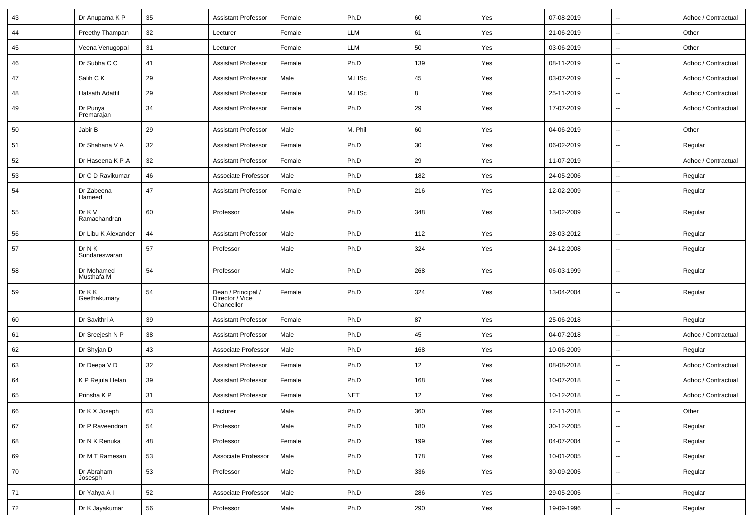| 43 | Dr Anupama K P           | 35 | <b>Assistant Professor</b>                          | Female | Ph.D       | 60  | Yes | 07-08-2019 | $\mathbf{u}$             | Adhoc / Contractual |
|----|--------------------------|----|-----------------------------------------------------|--------|------------|-----|-----|------------|--------------------------|---------------------|
| 44 | Preethy Thampan          | 32 | Lecturer                                            | Female | LLM        | 61  | Yes | 21-06-2019 | $\overline{\phantom{a}}$ | Other               |
| 45 | Veena Venugopal          | 31 | Lecturer                                            | Female | LLM        | 50  | Yes | 03-06-2019 | $\overline{\phantom{a}}$ | Other               |
| 46 | Dr Subha C C             | 41 | <b>Assistant Professor</b>                          | Female | Ph.D       | 139 | Yes | 08-11-2019 | $\overline{\phantom{a}}$ | Adhoc / Contractual |
| 47 | Salih C K                | 29 | <b>Assistant Professor</b>                          | Male   | M.LISc     | 45  | Yes | 03-07-2019 | $\overline{\phantom{a}}$ | Adhoc / Contractual |
| 48 | Hafsath Adattil          | 29 | <b>Assistant Professor</b>                          | Female | M.LISc     | 8   | Yes | 25-11-2019 | $\overline{\phantom{a}}$ | Adhoc / Contractual |
| 49 | Dr Punya<br>Premarajan   | 34 | <b>Assistant Professor</b>                          | Female | Ph.D       | 29  | Yes | 17-07-2019 | $\sim$                   | Adhoc / Contractual |
| 50 | Jabir B                  | 29 | <b>Assistant Professor</b>                          | Male   | M. Phil    | 60  | Yes | 04-06-2019 | $\ddotsc$                | Other               |
| 51 | Dr Shahana V A           | 32 | <b>Assistant Professor</b>                          | Female | Ph.D       | 30  | Yes | 06-02-2019 | $\overline{\phantom{a}}$ | Regular             |
| 52 | Dr Haseena K P A         | 32 | <b>Assistant Professor</b>                          | Female | Ph.D       | 29  | Yes | 11-07-2019 | $\overline{\phantom{a}}$ | Adhoc / Contractual |
| 53 | Dr C D Ravikumar         | 46 | Associate Professor                                 | Male   | Ph.D       | 182 | Yes | 24-05-2006 | $\overline{\phantom{a}}$ | Regular             |
| 54 | Dr Zabeena<br>Hameed     | 47 | <b>Assistant Professor</b>                          | Female | Ph.D       | 216 | Yes | 12-02-2009 | $\overline{\phantom{a}}$ | Regular             |
| 55 | Dr K V<br>Ramachandran   | 60 | Professor                                           | Male   | Ph.D       | 348 | Yes | 13-02-2009 | $\overline{\phantom{a}}$ | Regular             |
| 56 | Dr Libu K Alexander      | 44 | <b>Assistant Professor</b>                          | Male   | Ph.D       | 112 | Yes | 28-03-2012 | $\overline{\phantom{a}}$ | Regular             |
| 57 | Dr N K<br>Sundareswaran  | 57 | Professor                                           | Male   | Ph.D       | 324 | Yes | 24-12-2008 | $\overline{\phantom{a}}$ | Regular             |
| 58 | Dr Mohamed<br>Musthafa M | 54 | Professor                                           | Male   | Ph.D       | 268 | Yes | 06-03-1999 | $\overline{\phantom{a}}$ | Regular             |
| 59 | Dr K K<br>Geethakumary   | 54 | Dean / Principal /<br>Director / Vice<br>Chancellor | Female | Ph.D       | 324 | Yes | 13-04-2004 | $\overline{\phantom{a}}$ | Regular             |
| 60 | Dr Savithri A            | 39 | <b>Assistant Professor</b>                          | Female | Ph.D       | 87  | Yes | 25-06-2018 | $\overline{\phantom{a}}$ | Regular             |
| 61 | Dr Sreejesh N P          | 38 | <b>Assistant Professor</b>                          | Male   | Ph.D       | 45  | Yes | 04-07-2018 | $\overline{\phantom{a}}$ | Adhoc / Contractual |
| 62 | Dr Shyjan D              | 43 | Associate Professor                                 | Male   | Ph.D       | 168 | Yes | 10-06-2009 | $\sim$                   | Regular             |
| 63 | Dr Deepa V D             | 32 | <b>Assistant Professor</b>                          | Female | Ph.D       | 12  | Yes | 08-08-2018 | $\overline{\phantom{a}}$ | Adhoc / Contractual |
| 64 | K P Rejula Helan         | 39 | <b>Assistant Professor</b>                          | Female | Ph.D       | 168 | Yes | 10-07-2018 | $\overline{\phantom{a}}$ | Adhoc / Contractual |
| 65 | Prinsha K P              | 31 | <b>Assistant Professor</b>                          | Female | <b>NET</b> | 12  | Yes | 10-12-2018 | ۰.                       | Adhoc / Contractual |
| 66 | Dr K X Joseph            | 63 | Lecturer                                            | Male   | Ph.D       | 360 | Yes | 12-11-2018 |                          | Other               |
| 67 | Dr P Raveendran          | 54 | Professor                                           | Male   | Ph.D       | 180 | Yes | 30-12-2005 | $\overline{\phantom{a}}$ | Regular             |
| 68 | Dr N K Renuka            | 48 | Professor                                           | Female | Ph.D       | 199 | Yes | 04-07-2004 | $\overline{\phantom{a}}$ | Regular             |
| 69 | Dr M T Ramesan           | 53 | Associate Professor                                 | Male   | Ph.D       | 178 | Yes | 10-01-2005 | $\overline{\phantom{a}}$ | Regular             |
| 70 | Dr Abraham<br>Josesph    | 53 | Professor                                           | Male   | Ph.D       | 336 | Yes | 30-09-2005 | $\overline{\phantom{a}}$ | Regular             |
| 71 | Dr Yahya A I             | 52 | Associate Professor                                 | Male   | Ph.D       | 286 | Yes | 29-05-2005 | $\overline{\phantom{a}}$ | Regular             |
| 72 | Dr K Jayakumar           | 56 | Professor                                           | Male   | Ph.D       | 290 | Yes | 19-09-1996 | ۰.                       | Regular             |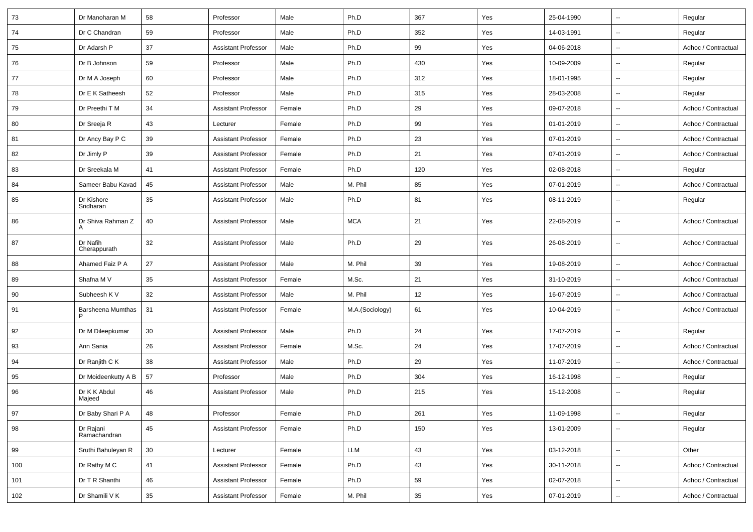| 73  | Dr Manoharan M            | 58     | Professor                  | Male   | Ph.D            | 367 | Yes | 25-04-1990 | $\overline{\phantom{a}}$ | Regular             |
|-----|---------------------------|--------|----------------------------|--------|-----------------|-----|-----|------------|--------------------------|---------------------|
| 74  | Dr C Chandran             | 59     | Professor                  | Male   | Ph.D            | 352 | Yes | 14-03-1991 | $\overline{\phantom{a}}$ | Regular             |
| 75  | Dr Adarsh P               | 37     | <b>Assistant Professor</b> | Male   | Ph.D            | 99  | Yes | 04-06-2018 | $\sim$                   | Adhoc / Contractual |
| 76  | Dr B Johnson              | 59     | Professor                  | Male   | Ph.D            | 430 | Yes | 10-09-2009 | $\overline{\phantom{a}}$ | Regular             |
| 77  | Dr M A Joseph             | 60     | Professor                  | Male   | Ph.D            | 312 | Yes | 18-01-1995 | $\sim$                   | Regular             |
| 78  | Dr E K Satheesh           | 52     | Professor                  | Male   | Ph.D            | 315 | Yes | 28-03-2008 | $\sim$                   | Regular             |
| 79  | Dr Preethi T M            | 34     | Assistant Professor        | Female | Ph.D            | 29  | Yes | 09-07-2018 | $\sim$                   | Adhoc / Contractual |
| 80  | Dr Sreeja R               | 43     | Lecturer                   | Female | Ph.D            | 99  | Yes | 01-01-2019 | $\overline{\phantom{a}}$ | Adhoc / Contractual |
| 81  | Dr Ancy Bay P C           | 39     | <b>Assistant Professor</b> | Female | Ph.D            | 23  | Yes | 07-01-2019 | $\sim$                   | Adhoc / Contractual |
| 82  | Dr Jimly P                | 39     | Assistant Professor        | Female | Ph.D            | 21  | Yes | 07-01-2019 | $\sim$                   | Adhoc / Contractual |
| 83  | Dr Sreekala M             | 41     | <b>Assistant Professor</b> | Female | Ph.D            | 120 | Yes | 02-08-2018 | $\overline{\phantom{a}}$ | Regular             |
| 84  | Sameer Babu Kavad         | 45     | <b>Assistant Professor</b> | Male   | M. Phil         | 85  | Yes | 07-01-2019 | $\sim$                   | Adhoc / Contractual |
| 85  | Dr Kishore<br>Sridharan   | 35     | <b>Assistant Professor</b> | Male   | Ph.D            | 81  | Yes | 08-11-2019 | $\overline{\phantom{a}}$ | Regular             |
| 86  | Dr Shiva Rahman Z         | 40     | <b>Assistant Professor</b> | Male   | <b>MCA</b>      | 21  | Yes | 22-08-2019 | $\sim$                   | Adhoc / Contractual |
| 87  | Dr Nafih<br>Cherappurath  | 32     | Assistant Professor        | Male   | Ph.D            | 29  | Yes | 26-08-2019 | $\sim$                   | Adhoc / Contractual |
| 88  | Ahamed Faiz P A           | 27     | Assistant Professor        | Male   | M. Phil         | 39  | Yes | 19-08-2019 | $\overline{\phantom{a}}$ | Adhoc / Contractual |
| 89  | Shafna M V                | 35     | Assistant Professor        | Female | M.Sc.           | 21  | Yes | 31-10-2019 | $\sim$                   | Adhoc / Contractual |
| 90  | Subheesh K V              | 32     | Assistant Professor        | Male   | M. Phil         | 12  | Yes | 16-07-2019 | $\sim$                   | Adhoc / Contractual |
| 91  | Barsheena Mumthas         | 31     | <b>Assistant Professor</b> | Female | M.A.(Sociology) | 61  | Yes | 10-04-2019 | $\sim$                   | Adhoc / Contractual |
| 92  | Dr M Dileepkumar          | 30     | <b>Assistant Professor</b> | Male   | Ph.D            | 24  | Yes | 17-07-2019 | $\sim$                   | Regular             |
| 93  | Ann Sania                 | 26     | <b>Assistant Professor</b> | Female | M.Sc.           | 24  | Yes | 17-07-2019 | $\overline{\phantom{a}}$ | Adhoc / Contractual |
| 94  | Dr Ranjith C K            | 38     | <b>Assistant Professor</b> | Male   | Ph.D            | 29  | Yes | 11-07-2019 | $\overline{a}$           | Adhoc / Contractual |
| 95  | Dr Moideenkutty A B       | 57     | Professor                  | Male   | Ph.D            | 304 | Yes | 16-12-1998 | $\overline{\phantom{a}}$ | Regular             |
| 96  | Dr K K Abdul<br>Majeed    | 46     | Assistant Professor        | Male   | Ph.D            | 215 | Yes | 15-12-2008 | $\overline{\phantom{a}}$ | Regular             |
| 97  | Dr Baby Shari P A         | 48     | Professor                  | Female | Ph.D            | 261 | Yes | 11-09-1998 | $\overline{\phantom{a}}$ | Regular             |
| 98  | Dr Rajani<br>Ramachandran | 45     | <b>Assistant Professor</b> | Female | Ph.D            | 150 | Yes | 13-01-2009 | $\overline{\phantom{a}}$ | Regular             |
| 99  | Sruthi Bahuleyan R        | $30\,$ | Lecturer                   | Female | LLM             | 43  | Yes | 03-12-2018 | $\overline{\phantom{a}}$ | Other               |
| 100 | Dr Rathy M C              | 41     | <b>Assistant Professor</b> | Female | Ph.D            | 43  | Yes | 30-11-2018 | $\ddot{\phantom{1}}$     | Adhoc / Contractual |
| 101 | Dr T R Shanthi            | 46     | <b>Assistant Professor</b> | Female | Ph.D            | 59  | Yes | 02-07-2018 | $\ddot{\phantom{1}}$     | Adhoc / Contractual |
| 102 | Dr Shamili V K            | 35     | <b>Assistant Professor</b> | Female | M. Phil         | 35  | Yes | 07-01-2019 | $\overline{\phantom{a}}$ | Adhoc / Contractual |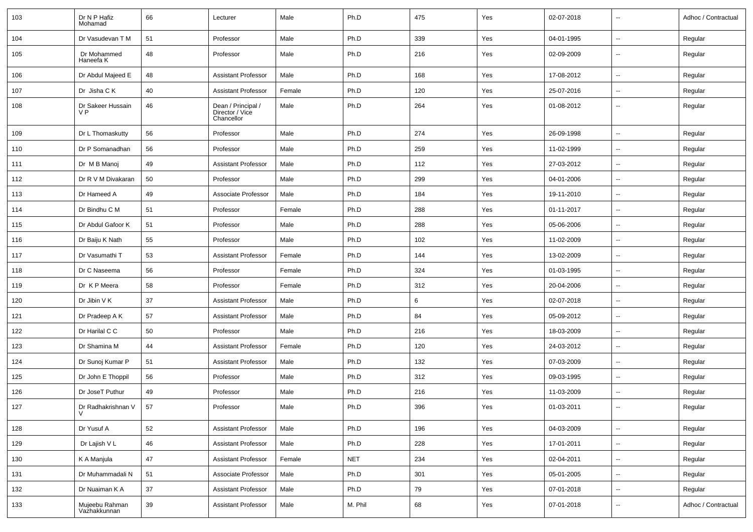| 103 | Dr N P Hafiz<br>Mohamad        | 66 | Lecturer                                            | Male   | Ph.D       | 475 | Yes | 02-07-2018 | $\overline{\phantom{a}}$ | Adhoc / Contractual |
|-----|--------------------------------|----|-----------------------------------------------------|--------|------------|-----|-----|------------|--------------------------|---------------------|
| 104 | Dr Vasudevan T M               | 51 | Professor                                           | Male   | Ph.D       | 339 | Yes | 04-01-1995 | Ξ.                       | Regular             |
| 105 | Dr Mohammed<br>Haneefa K       | 48 | Professor                                           | Male   | Ph.D       | 216 | Yes | 02-09-2009 | $\overline{\phantom{a}}$ | Regular             |
| 106 | Dr Abdul Majeed E              | 48 | <b>Assistant Professor</b>                          | Male   | Ph.D       | 168 | Yes | 17-08-2012 | Ξ.                       | Regular             |
| 107 | Dr Jisha C K                   | 40 | <b>Assistant Professor</b>                          | Female | Ph.D       | 120 | Yes | 25-07-2016 | $\overline{\phantom{a}}$ | Regular             |
| 108 | Dr Sakeer Hussain<br>V P       | 46 | Dean / Principal /<br>Director / Vice<br>Chancellor | Male   | Ph.D       | 264 | Yes | 01-08-2012 | $\overline{\phantom{a}}$ | Regular             |
| 109 | Dr L Thomaskutty               | 56 | Professor                                           | Male   | Ph.D       | 274 | Yes | 26-09-1998 | $\overline{\phantom{a}}$ | Regular             |
| 110 | Dr P Somanadhan                | 56 | Professor                                           | Male   | Ph.D       | 259 | Yes | 11-02-1999 | $\overline{\phantom{a}}$ | Regular             |
| 111 | Dr M B Manoj                   | 49 | <b>Assistant Professor</b>                          | Male   | Ph.D       | 112 | Yes | 27-03-2012 | $\overline{\phantom{a}}$ | Regular             |
| 112 | Dr R V M Divakaran             | 50 | Professor                                           | Male   | Ph.D       | 299 | Yes | 04-01-2006 | Ξ.                       | Regular             |
| 113 | Dr Hameed A                    | 49 | Associate Professor                                 | Male   | Ph.D       | 184 | Yes | 19-11-2010 | Щ,                       | Regular             |
| 114 | Dr Bindhu C M                  | 51 | Professor                                           | Female | Ph.D       | 288 | Yes | 01-11-2017 | $\overline{\phantom{a}}$ | Regular             |
| 115 | Dr Abdul Gafoor K              | 51 | Professor                                           | Male   | Ph.D       | 288 | Yes | 05-06-2006 | $\overline{\phantom{a}}$ | Regular             |
| 116 | Dr Baiju K Nath                | 55 | Professor                                           | Male   | Ph.D       | 102 | Yes | 11-02-2009 | $\overline{\phantom{a}}$ | Regular             |
| 117 | Dr Vasumathi T                 | 53 | <b>Assistant Professor</b>                          | Female | Ph.D       | 144 | Yes | 13-02-2009 | $\overline{\phantom{a}}$ | Regular             |
| 118 | Dr C Naseema                   | 56 | Professor                                           | Female | Ph.D       | 324 | Yes | 01-03-1995 | Щ,                       | Regular             |
| 119 | Dr K P Meera                   | 58 | Professor                                           | Female | Ph.D       | 312 | Yes | 20-04-2006 | $\overline{\phantom{a}}$ | Regular             |
| 120 | Dr Jibin V K                   | 37 | <b>Assistant Professor</b>                          | Male   | Ph.D       | 6   | Yes | 02-07-2018 | $\overline{\phantom{a}}$ | Regular             |
| 121 | Dr Pradeep A K                 | 57 | <b>Assistant Professor</b>                          | Male   | Ph.D       | 84  | Yes | 05-09-2012 | --                       | Regular             |
| 122 | Dr Harilal C C                 | 50 | Professor                                           | Male   | Ph.D       | 216 | Yes | 18-03-2009 | $\overline{\phantom{a}}$ | Regular             |
| 123 | Dr Shamina M                   | 44 | <b>Assistant Professor</b>                          | Female | Ph.D       | 120 | Yes | 24-03-2012 | $\overline{\phantom{a}}$ | Regular             |
| 124 | Dr Sunoj Kumar P               | 51 | <b>Assistant Professor</b>                          | Male   | Ph.D       | 132 | Yes | 07-03-2009 | $\overline{\phantom{a}}$ | Regular             |
| 125 | Dr John E Thoppil              | 56 | Professor                                           | Male   | Ph.D       | 312 | Yes | 09-03-1995 | $\overline{\phantom{a}}$ | Regular             |
| 126 | Dr JoseT Puthur                | 49 | Professor                                           | Male   | Ph.D       | 216 | Yes | 11-03-2009 | $\overline{\phantom{a}}$ | Regular             |
| 127 | Dr Radhakrishnan V<br>V        | 57 | Professor                                           | Male   | Ph.D       | 396 | Yes | 01-03-2011 | $\overline{\phantom{a}}$ | Regular             |
| 128 | Dr Yusuf A                     | 52 | <b>Assistant Professor</b>                          | Male   | Ph.D       | 196 | Yes | 04-03-2009 | Щ,                       | Regular             |
| 129 | Dr Lajish V L                  | 46 | <b>Assistant Professor</b>                          | Male   | Ph.D       | 228 | Yes | 17-01-2011 | Щ,                       | Regular             |
| 130 | K A Manjula                    | 47 | <b>Assistant Professor</b>                          | Female | <b>NET</b> | 234 | Yes | 02-04-2011 | Ξ.                       | Regular             |
| 131 | Dr Muhammadali N               | 51 | Associate Professor                                 | Male   | Ph.D       | 301 | Yes | 05-01-2005 | Ξ.                       | Regular             |
| 132 | Dr Nuaiman K A                 | 37 | <b>Assistant Professor</b>                          | Male   | Ph.D       | 79  | Yes | 07-01-2018 | $\sim$                   | Regular             |
| 133 | Mujeebu Rahman<br>Vazhakkunnan | 39 | <b>Assistant Professor</b>                          | Male   | M. Phil    | 68  | Yes | 07-01-2018 | Щ,                       | Adhoc / Contractual |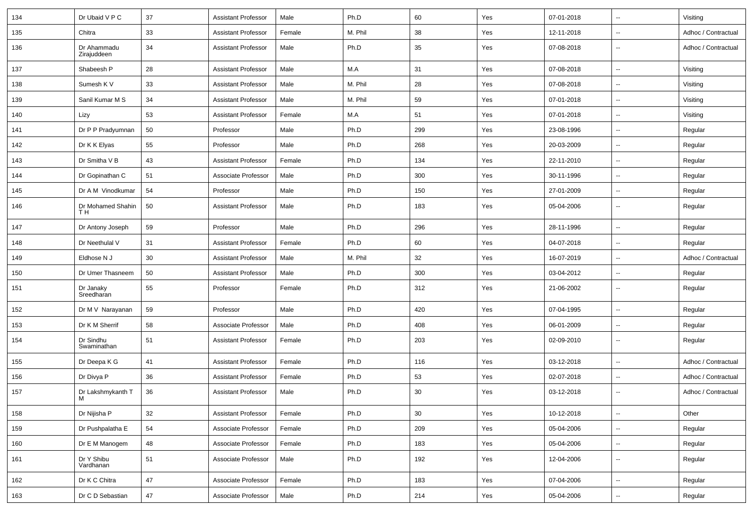| 134 | Dr Ubaid V P C             | 37 | <b>Assistant Professor</b> | Male   | Ph.D    | 60  | Yes | 07-01-2018 | $\overline{\phantom{a}}$ | Visiting            |
|-----|----------------------------|----|----------------------------|--------|---------|-----|-----|------------|--------------------------|---------------------|
| 135 | Chitra                     | 33 | <b>Assistant Professor</b> | Female | M. Phil | 38  | Yes | 12-11-2018 | $\mathbf{u}$             | Adhoc / Contractual |
| 136 | Dr Ahammadu<br>Zirajuddeen | 34 | <b>Assistant Professor</b> | Male   | Ph.D    | 35  | Yes | 07-08-2018 | $\overline{\phantom{a}}$ | Adhoc / Contractual |
| 137 | Shabeesh P                 | 28 | <b>Assistant Professor</b> | Male   | M.A     | 31  | Yes | 07-08-2018 | $\overline{\phantom{a}}$ | Visiting            |
| 138 | Sumesh K V                 | 33 | <b>Assistant Professor</b> | Male   | M. Phil | 28  | Yes | 07-08-2018 | $\overline{\phantom{a}}$ | Visiting            |
| 139 | Sanil Kumar M S            | 34 | <b>Assistant Professor</b> | Male   | M. Phil | 59  | Yes | 07-01-2018 | $\overline{\phantom{a}}$ | Visiting            |
| 140 | Lizy                       | 53 | <b>Assistant Professor</b> | Female | M.A     | 51  | Yes | 07-01-2018 | $\overline{\phantom{a}}$ | Visiting            |
| 141 | Dr P P Pradyumnan          | 50 | Professor                  | Male   | Ph.D    | 299 | Yes | 23-08-1996 | $\overline{\phantom{a}}$ | Regular             |
| 142 | Dr K K Elyas               | 55 | Professor                  | Male   | Ph.D    | 268 | Yes | 20-03-2009 | $\overline{\phantom{a}}$ | Regular             |
| 143 | Dr Smitha V B              | 43 | <b>Assistant Professor</b> | Female | Ph.D    | 134 | Yes | 22-11-2010 | $\overline{\phantom{a}}$ | Regular             |
| 144 | Dr Gopinathan C            | 51 | Associate Professor        | Male   | Ph.D    | 300 | Yes | 30-11-1996 | $\overline{\phantom{a}}$ | Regular             |
| 145 | Dr A M Vinodkumar          | 54 | Professor                  | Male   | Ph.D    | 150 | Yes | 27-01-2009 | $\overline{\phantom{a}}$ | Regular             |
| 146 | Dr Mohamed Shahin<br>TН    | 50 | <b>Assistant Professor</b> | Male   | Ph.D    | 183 | Yes | 05-04-2006 | $\overline{\phantom{a}}$ | Regular             |
| 147 | Dr Antony Joseph           | 59 | Professor                  | Male   | Ph.D    | 296 | Yes | 28-11-1996 | $\overline{\phantom{a}}$ | Regular             |
| 148 | Dr Neethulal V             | 31 | <b>Assistant Professor</b> | Female | Ph.D    | 60  | Yes | 04-07-2018 | $\overline{\phantom{a}}$ | Regular             |
| 149 | Eldhose N J                | 30 | <b>Assistant Professor</b> | Male   | M. Phil | 32  | Yes | 16-07-2019 | $\overline{\phantom{a}}$ | Adhoc / Contractual |
| 150 | Dr Umer Thasneem           | 50 | <b>Assistant Professor</b> | Male   | Ph.D    | 300 | Yes | 03-04-2012 | $\overline{\phantom{a}}$ | Regular             |
| 151 | Dr Janaky<br>Sreedharan    | 55 | Professor                  | Female | Ph.D    | 312 | Yes | 21-06-2002 | $\overline{\phantom{a}}$ | Regular             |
| 152 | Dr M V Narayanan           | 59 | Professor                  | Male   | Ph.D    | 420 | Yes | 07-04-1995 | $\overline{\phantom{a}}$ | Regular             |
| 153 | Dr K M Sherrif             | 58 | Associate Professor        | Male   | Ph.D    | 408 | Yes | 06-01-2009 | $\overline{\phantom{a}}$ | Regular             |
| 154 | Dr Sindhu<br>Swaminathan   | 51 | <b>Assistant Professor</b> | Female | Ph.D    | 203 | Yes | 02-09-2010 | $\mathbf{u}$             | Regular             |
| 155 | Dr Deepa K G               | 41 | <b>Assistant Professor</b> | Female | Ph.D    | 116 | Yes | 03-12-2018 | $\overline{\phantom{a}}$ | Adhoc / Contractual |
| 156 | Dr Divya P                 | 36 | <b>Assistant Professor</b> | Female | Ph.D    | 53  | Yes | 02-07-2018 | $\overline{\phantom{a}}$ | Adhoc / Contractual |
| 157 | Dr Lakshmykanth T<br>M     | 36 | <b>Assistant Professor</b> | Male   | Ph.D    | 30  | Yes | 03-12-2018 | $\overline{\phantom{a}}$ | Adhoc / Contractual |
| 158 | Dr Nijisha P               | 32 | <b>Assistant Professor</b> | Female | Ph.D    | 30  | Yes | 10-12-2018 | ۰.                       | Other               |
| 159 | Dr Pushpalatha E           | 54 | Associate Professor        | Female | Ph.D    | 209 | Yes | 05-04-2006 | $\overline{\phantom{a}}$ | Regular             |
| 160 | Dr E M Manogem             | 48 | Associate Professor        | Female | Ph.D    | 183 | Yes | 05-04-2006 | $\overline{\phantom{a}}$ | Regular             |
| 161 | Dr Y Shibu<br>Vardhanan    | 51 | Associate Professor        | Male   | Ph.D    | 192 | Yes | 12-04-2006 | $\overline{\phantom{a}}$ | Regular             |
| 162 | Dr K C Chitra              | 47 | Associate Professor        | Female | Ph.D    | 183 | Yes | 07-04-2006 | $\overline{\phantom{a}}$ | Regular             |
| 163 | Dr C D Sebastian           | 47 | Associate Professor        | Male   | Ph.D    | 214 | Yes | 05-04-2006 | $\overline{\phantom{a}}$ | Regular             |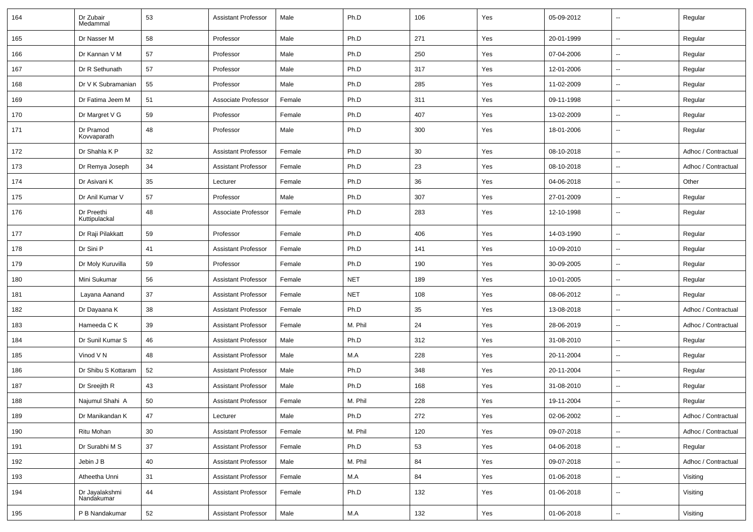| 164 | Dr Zubair<br>Medammal        | 53 | <b>Assistant Professor</b> | Male   | Ph.D       | 106 | Yes | 05-09-2012 | $\overline{\phantom{a}}$ | Regular             |
|-----|------------------------------|----|----------------------------|--------|------------|-----|-----|------------|--------------------------|---------------------|
| 165 | Dr Nasser M                  | 58 | Professor                  | Male   | Ph.D       | 271 | Yes | 20-01-1999 | $\overline{\phantom{a}}$ | Regular             |
| 166 | Dr Kannan V M                | 57 | Professor                  | Male   | Ph.D       | 250 | Yes | 07-04-2006 | ⊷.                       | Regular             |
| 167 | Dr R Sethunath               | 57 | Professor                  | Male   | Ph.D       | 317 | Yes | 12-01-2006 | $\overline{\phantom{a}}$ | Regular             |
| 168 | Dr V K Subramanian           | 55 | Professor                  | Male   | Ph.D       | 285 | Yes | 11-02-2009 | --                       | Regular             |
| 169 | Dr Fatima Jeem M             | 51 | Associate Professor        | Female | Ph.D       | 311 | Yes | 09-11-1998 | --                       | Regular             |
| 170 | Dr Margret V G               | 59 | Professor                  | Female | Ph.D       | 407 | Yes | 13-02-2009 | $\overline{\phantom{a}}$ | Regular             |
| 171 | Dr Pramod<br>Kovvaparath     | 48 | Professor                  | Male   | Ph.D       | 300 | Yes | 18-01-2006 | $\overline{\phantom{a}}$ | Regular             |
| 172 | Dr Shahla K P                | 32 | <b>Assistant Professor</b> | Female | Ph.D       | 30  | Yes | 08-10-2018 | $\overline{\phantom{a}}$ | Adhoc / Contractual |
| 173 | Dr Remya Joseph              | 34 | <b>Assistant Professor</b> | Female | Ph.D       | 23  | Yes | 08-10-2018 | $\overline{\phantom{a}}$ | Adhoc / Contractual |
| 174 | Dr Asivani K                 | 35 | Lecturer                   | Female | Ph.D       | 36  | Yes | 04-06-2018 | $\overline{\phantom{a}}$ | Other               |
| 175 | Dr Anil Kumar V              | 57 | Professor                  | Male   | Ph.D       | 307 | Yes | 27-01-2009 | --                       | Regular             |
| 176 | Dr Preethi<br>Kuttipulackal  | 48 | Associate Professor        | Female | Ph.D       | 283 | Yes | 12-10-1998 | --                       | Regular             |
| 177 | Dr Raji Pilakkatt            | 59 | Professor                  | Female | Ph.D       | 406 | Yes | 14-03-1990 | --                       | Regular             |
| 178 | Dr Sini P                    | 41 | <b>Assistant Professor</b> | Female | Ph.D       | 141 | Yes | 10-09-2010 | $\overline{\phantom{a}}$ | Regular             |
| 179 | Dr Moly Kuruvilla            | 59 | Professor                  | Female | Ph.D       | 190 | Yes | 30-09-2005 | $\overline{\phantom{a}}$ | Regular             |
| 180 | Mini Sukumar                 | 56 | <b>Assistant Professor</b> | Female | <b>NET</b> | 189 | Yes | 10-01-2005 | ⊷.                       | Regular             |
| 181 | Layana Aanand                | 37 | <b>Assistant Professor</b> | Female | <b>NET</b> | 108 | Yes | 08-06-2012 | --                       | Regular             |
| 182 | Dr Dayaana K                 | 38 | <b>Assistant Professor</b> | Female | Ph.D       | 35  | Yes | 13-08-2018 | --                       | Adhoc / Contractual |
| 183 | Hameeda C K                  | 39 | <b>Assistant Professor</b> | Female | M. Phil    | 24  | Yes | 28-06-2019 | --                       | Adhoc / Contractual |
| 184 | Dr Sunil Kumar S             | 46 | <b>Assistant Professor</b> | Male   | Ph.D       | 312 | Yes | 31-08-2010 | --                       | Regular             |
| 185 | Vinod V N                    | 48 | <b>Assistant Professor</b> | Male   | M.A        | 228 | Yes | 20-11-2004 | $\overline{\phantom{a}}$ | Regular             |
| 186 | Dr Shibu S Kottaram          | 52 | <b>Assistant Professor</b> | Male   | Ph.D       | 348 | Yes | 20-11-2004 | ⊷.                       | Regular             |
| 187 | Dr Sreejith R                | 43 | <b>Assistant Professor</b> | Male   | Ph.D       | 168 | Yes | 31-08-2010 | --                       | Regular             |
| 188 | Najumul Shahi A              | 50 | <b>Assistant Professor</b> | Female | M. Phil    | 228 | Yes | 19-11-2004 |                          | Regular             |
| 189 | Dr Manikandan K              | 47 | Lecturer                   | Male   | Ph.D       | 272 | Yes | 02-06-2002 | Щ,                       | Adhoc / Contractual |
| 190 | Ritu Mohan                   | 30 | <b>Assistant Professor</b> | Female | M. Phil    | 120 | Yes | 09-07-2018 | ц.                       | Adhoc / Contractual |
| 191 | Dr Surabhi M S               | 37 | <b>Assistant Professor</b> | Female | Ph.D       | 53  | Yes | 04-06-2018 | $\overline{\phantom{a}}$ | Regular             |
| 192 | Jebin J B                    | 40 | Assistant Professor        | Male   | M. Phil    | 84  | Yes | 09-07-2018 | $\sim$                   | Adhoc / Contractual |
| 193 | Atheetha Unni                | 31 | <b>Assistant Professor</b> | Female | M.A        | 84  | Yes | 01-06-2018 | $\overline{\phantom{a}}$ | Visiting            |
| 194 | Dr Jayalakshmi<br>Nandakumar | 44 | <b>Assistant Professor</b> | Female | Ph.D       | 132 | Yes | 01-06-2018 | $\overline{\phantom{a}}$ | Visiting            |
| 195 | P B Nandakumar               | 52 | <b>Assistant Professor</b> | Male   | M.A        | 132 | Yes | 01-06-2018 | $\sim$                   | Visiting            |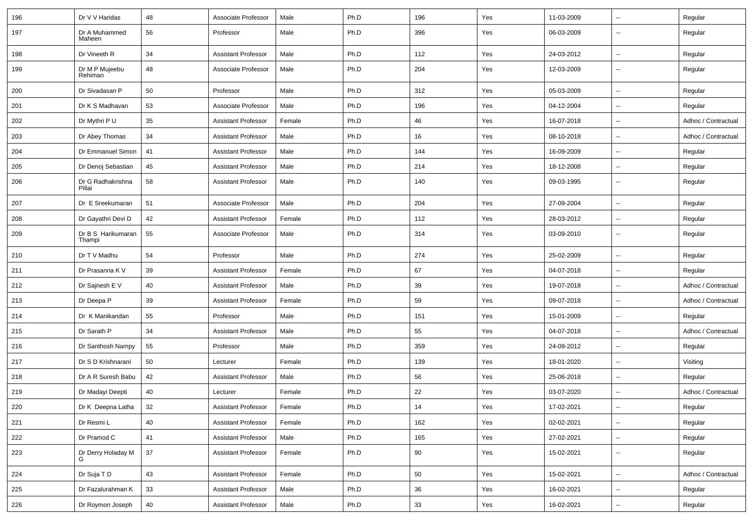| 196 | Dr V V Haridas               | 48 | Associate Professor        | Male   | Ph.D | 196 | Yes | 11-03-2009 | ۰.                       | Regular             |
|-----|------------------------------|----|----------------------------|--------|------|-----|-----|------------|--------------------------|---------------------|
| 197 | Dr A Muhammed<br>Maheen      | 56 | Professor                  | Male   | Ph.D | 396 | Yes | 06-03-2009 | $\overline{\phantom{a}}$ | Regular             |
| 198 | Dr Vineeth R                 | 34 | <b>Assistant Professor</b> | Male   | Ph.D | 112 | Yes | 24-03-2012 | $\overline{\phantom{a}}$ | Regular             |
| 199 | Dr M P Mujeebu<br>Rehiman    | 48 | Associate Professor        | Male   | Ph.D | 204 | Yes | 12-03-2009 | ۰.                       | Regular             |
| 200 | Dr Sivadasan P               | 50 | Professor                  | Male   | Ph.D | 312 | Yes | 05-03-2009 | Ξ.                       | Regular             |
| 201 | Dr K S Madhavan              | 53 | Associate Professor        | Male   | Ph.D | 196 | Yes | 04-12-2004 | $\overline{\phantom{a}}$ | Regular             |
| 202 | Dr Mythri P U                | 35 | <b>Assistant Professor</b> | Female | Ph.D | 46  | Yes | 16-07-2018 | u.                       | Adhoc / Contractual |
| 203 | Dr Abey Thomas               | 34 | <b>Assistant Professor</b> | Male   | Ph.D | 16  | Yes | 08-10-2018 | --                       | Adhoc / Contractual |
| 204 | Dr Emmanuel Simon            | 41 | <b>Assistant Professor</b> | Male   | Ph.D | 144 | Yes | 16-09-2009 | --                       | Regular             |
| 205 | Dr Denoj Sebastian           | 45 | <b>Assistant Professor</b> | Male   | Ph.D | 214 | Yes | 18-12-2008 | u.                       | Regular             |
| 206 | Dr G Radhakrishna<br>Pillai  | 58 | <b>Assistant Professor</b> | Male   | Ph.D | 140 | Yes | 09-03-1995 | ۰.                       | Regular             |
| 207 | Dr E Sreekumaran             | 51 | Associate Professor        | Male   | Ph.D | 204 | Yes | 27-09-2004 | Ξ.                       | Regular             |
| 208 | Dr Gayathri Devi D           | 42 | <b>Assistant Professor</b> | Female | Ph.D | 112 | Yes | 28-03-2012 | $\overline{\phantom{a}}$ | Regular             |
| 209 | Dr B S Harikumaran<br>Thampi | 55 | Associate Professor        | Male   | Ph.D | 314 | Yes | 03-09-2010 | $\overline{a}$           | Regular             |
| 210 | Dr T V Madhu                 | 54 | Professor                  | Male   | Ph.D | 274 | Yes | 25-02-2009 | $\overline{\phantom{a}}$ | Regular             |
| 211 | Dr Prasanna K V              | 39 | <b>Assistant Professor</b> | Female | Ph.D | 67  | Yes | 04-07-2018 | Ξ.                       | Regular             |
| 212 | Dr Sajnesh E V               | 40 | <b>Assistant Professor</b> | Male   | Ph.D | 39  | Yes | 19-07-2018 | $\overline{\phantom{a}}$ | Adhoc / Contractual |
| 213 | Dr Deepa P                   | 39 | <b>Assistant Professor</b> | Female | Ph.D | 59  | Yes | 09-07-2018 | Ξ.                       | Adhoc / Contractual |
| 214 | Dr K Manikandan              | 55 | Professor                  | Male   | Ph.D | 151 | Yes | 15-01-2009 | $\overline{\phantom{a}}$ | Regular             |
| 215 | Dr Sarath P                  | 34 | <b>Assistant Professor</b> | Male   | Ph.D | 55  | Yes | 04-07-2018 | $\overline{\phantom{a}}$ | Adhoc / Contractual |
| 216 | Dr Santhosh Nampy            | 55 | Professor                  | Male   | Ph.D | 359 | Yes | 24-09-2012 | u.                       | Regular             |
| 217 | Dr S D Krishnarani           | 50 | Lecturer                   | Female | Ph.D | 139 | Yes | 18-01-2020 | $\overline{\phantom{a}}$ | Visiting            |
| 218 | Dr A R Suresh Babu           | 42 | <b>Assistant Professor</b> | Male   | Ph.D | 56  | Yes | 25-06-2018 | --                       | Regular             |
| 219 | Dr Madayi Deepti             | 40 | Lecturer                   | Female | Ph.D | 22  | Yes | 03-07-2020 | u.                       | Adhoc / Contractual |
| 220 | Dr K Deepna Latha            | 32 | <b>Assistant Professor</b> | Female | Ph.D | 14  | Yes | 17-02-2021 | $\overline{\phantom{a}}$ | Regular             |
| 221 | Dr Resmi L                   | 40 | <b>Assistant Professor</b> | Female | Ph.D | 162 | Yes | 02-02-2021 | Ξ.                       | Regular             |
| 222 | Dr Pramod C                  | 41 | <b>Assistant Professor</b> | Male   | Ph.D | 165 | Yes | 27-02-2021 | $\overline{\phantom{a}}$ | Regular             |
| 223 | Dr Derry Holaday M           | 37 | <b>Assistant Professor</b> | Female | Ph.D | 90  | Yes | 15-02-2021 | Ξ.                       | Regular             |
| 224 | Dr Suja T D                  | 43 | <b>Assistant Professor</b> | Female | Ph.D | 50  | Yes | 15-02-2021 | ω.                       | Adhoc / Contractual |
| 225 | Dr Fazalurahman K            | 33 | <b>Assistant Professor</b> | Male   | Ph.D | 36  | Yes | 16-02-2021 | --                       | Regular             |
| 226 | Dr Roymon Joseph             | 40 | <b>Assistant Professor</b> | Male   | Ph.D | 33  | Yes | 16-02-2021 | $\sim$                   | Regular             |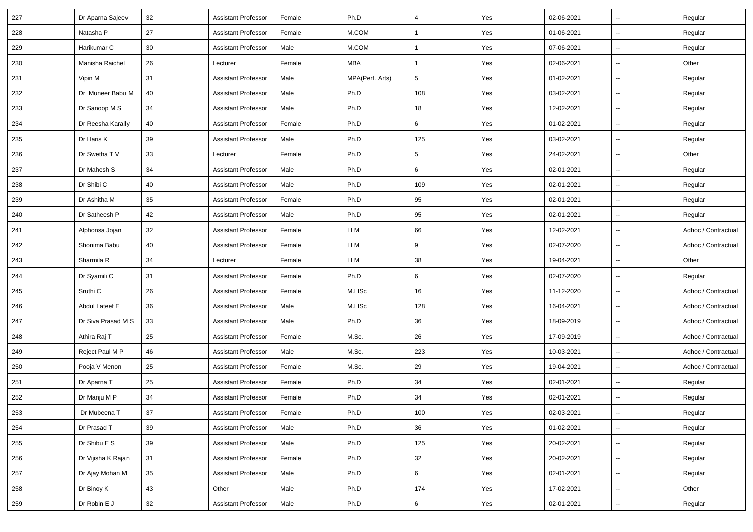| 227 | Dr Aparna Sajeev   | 32 | <b>Assistant Professor</b> | Female | Ph.D            | $\overline{4}$ | Yes | 02-06-2021 | $\overline{\phantom{a}}$ | Regular             |
|-----|--------------------|----|----------------------------|--------|-----------------|----------------|-----|------------|--------------------------|---------------------|
| 228 | Natasha P          | 27 | <b>Assistant Professor</b> | Female | M.COM           | $\mathbf{1}$   | Yes | 01-06-2021 | --                       | Regular             |
| 229 | Harikumar C        | 30 | <b>Assistant Professor</b> | Male   | M.COM           | 1              | Yes | 07-06-2021 | $\overline{\phantom{a}}$ | Regular             |
| 230 | Manisha Raichel    | 26 | Lecturer                   | Female | MBA             | $\mathbf{1}$   | Yes | 02-06-2021 | $\overline{\phantom{a}}$ | Other               |
| 231 | Vipin M            | 31 | <b>Assistant Professor</b> | Male   | MPA(Perf. Arts) | 5              | Yes | 01-02-2021 | Ξ.                       | Regular             |
| 232 | Dr Muneer Babu M   | 40 | <b>Assistant Professor</b> | Male   | Ph.D            | 108            | Yes | 03-02-2021 | Щ,                       | Regular             |
| 233 | Dr Sanoop M S      | 34 | <b>Assistant Professor</b> | Male   | Ph.D            | 18             | Yes | 12-02-2021 | $\sim$                   | Regular             |
| 234 | Dr Reesha Karally  | 40 | <b>Assistant Professor</b> | Female | Ph.D            | 6              | Yes | 01-02-2021 | $\overline{\phantom{a}}$ | Regular             |
| 235 | Dr Haris K         | 39 | <b>Assistant Professor</b> | Male   | Ph.D            | 125            | Yes | 03-02-2021 | $\overline{\phantom{a}}$ | Regular             |
| 236 | Dr Swetha T V      | 33 | Lecturer                   | Female | Ph.D            | 5              | Yes | 24-02-2021 | $\overline{\phantom{a}}$ | Other               |
| 237 | Dr Mahesh S        | 34 | <b>Assistant Professor</b> | Male   | Ph.D            | 6              | Yes | 02-01-2021 | $\overline{\phantom{a}}$ | Regular             |
| 238 | Dr Shibi C         | 40 | <b>Assistant Professor</b> | Male   | Ph.D            | 109            | Yes | 02-01-2021 | $\sim$                   | Regular             |
| 239 | Dr Ashitha M       | 35 | <b>Assistant Professor</b> | Female | Ph.D            | 95             | Yes | 02-01-2021 | Щ,                       | Regular             |
| 240 | Dr Satheesh P      | 42 | <b>Assistant Professor</b> | Male   | Ph.D            | 95             | Yes | 02-01-2021 | $\sim$                   | Regular             |
| 241 | Alphonsa Jojan     | 32 | <b>Assistant Professor</b> | Female | LLM             | 66             | Yes | 12-02-2021 | $\overline{\phantom{a}}$ | Adhoc / Contractual |
| 242 | Shonima Babu       | 40 | <b>Assistant Professor</b> | Female | LLM             | 9              | Yes | 02-07-2020 | $\overline{\phantom{a}}$ | Adhoc / Contractual |
| 243 | Sharmila R         | 34 | Lecturer                   | Female | LLM             | 38             | Yes | 19-04-2021 | Ξ.                       | Other               |
| 244 | Dr Syamili C       | 31 | <b>Assistant Professor</b> | Female | Ph.D            | 6              | Yes | 02-07-2020 | Ξ.                       | Regular             |
| 245 | Sruthi C           | 26 | <b>Assistant Professor</b> | Female | M.LISc          | 16             | Yes | 11-12-2020 | $\sim$                   | Adhoc / Contractual |
| 246 | Abdul Lateef E     | 36 | <b>Assistant Professor</b> | Male   | M.LISc          | 128            | Yes | 16-04-2021 | $\overline{\phantom{a}}$ | Adhoc / Contractual |
| 247 | Dr Siva Prasad M S | 33 | <b>Assistant Professor</b> | Male   | Ph.D            | 36             | Yes | 18-09-2019 | Щ,                       | Adhoc / Contractual |
| 248 | Athira Raj T       | 25 | <b>Assistant Professor</b> | Female | M.Sc.           | 26             | Yes | 17-09-2019 |                          | Adhoc / Contractual |
| 249 | Reject Paul M P    | 46 | <b>Assistant Professor</b> | Male   | M.Sc.           | 223            | Yes | 10-03-2021 | $\overline{\phantom{a}}$ | Adhoc / Contractual |
| 250 | Pooja V Menon      | 25 | <b>Assistant Professor</b> | Female | M.Sc.           | 29             | Yes | 19-04-2021 | Ξ.                       | Adhoc / Contractual |
| 251 | Dr Aparna T        | 25 | <b>Assistant Professor</b> | Female | Ph.D            | 34             | Yes | 02-01-2021 | $\sim$                   | Regular             |
| 252 | Dr Manju M P       | 34 | <b>Assistant Professor</b> | Female | Ph.D            | 34             | Yes | 02-01-2021 | Щ,                       | Regular             |
| 253 | Dr Mubeena T       | 37 | Assistant Professor        | Female | Ph.D            | 100            | Yes | 02-03-2021 | $\overline{\phantom{a}}$ | Regular             |
| 254 | Dr Prasad T        | 39 | <b>Assistant Professor</b> | Male   | Ph.D            | 36             | Yes | 01-02-2021 |                          | Regular             |
| 255 | Dr Shibu E S       | 39 | <b>Assistant Professor</b> | Male   | Ph.D            | 125            | Yes | 20-02-2021 |                          | Regular             |
| 256 | Dr Vijisha K Rajan | 31 | <b>Assistant Professor</b> | Female | Ph.D            | 32             | Yes | 20-02-2021 | $\sim$                   | Regular             |
| 257 | Dr Ajay Mohan M    | 35 | <b>Assistant Professor</b> | Male   | Ph.D            | 6              | Yes | 02-01-2021 | $\sim$                   | Regular             |
| 258 | Dr Binoy K         | 43 | Other                      | Male   | Ph.D            | 174            | Yes | 17-02-2021 | $\sim$                   | Other               |
| 259 | Dr Robin E J       | 32 | <b>Assistant Professor</b> | Male   | Ph.D            | 6              | Yes | 02-01-2021 | $\overline{\phantom{a}}$ | Regular             |